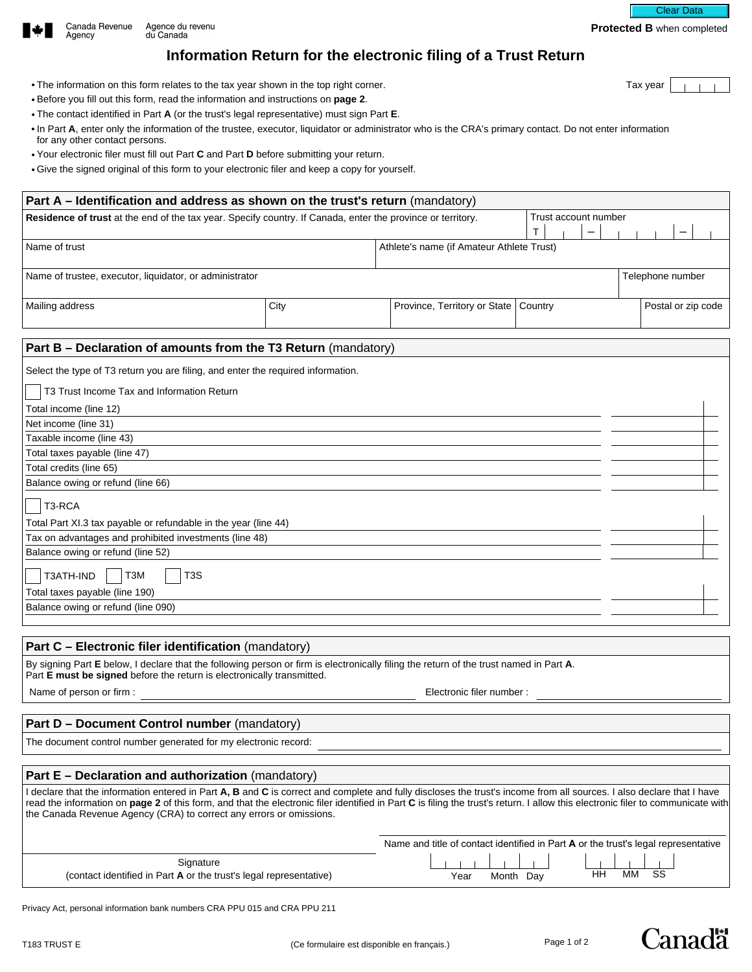

# **Information Return for the electronic filing of a Trust Return**

- The information on this form relates to the tax year shown in the top right corner. The information on this form relates to the tax year
- Before you fill out this form, read the information and instructions on **page 2**.
- The contact identified in Part **A** (or the trust's legal representative) must sign Part **E**.
- In Part **A**, enter only the information of the trustee, executor, liquidator or administrator who is the CRA's primary contact. Do not enter information for any other contact persons.
- Your electronic filer must fill out Part **C** and Part **D** before submitting your return.
- Give the signed original of this form to your electronic filer and keep a copy for yourself.

| Part A – Identification and address as shown on the trust's return (mandatory)                              |      |                                           |                                            |                      |  |  |
|-------------------------------------------------------------------------------------------------------------|------|-------------------------------------------|--------------------------------------------|----------------------|--|--|
| Residence of trust at the end of the tax year. Specify country. If Canada, enter the province or territory. |      |                                           |                                            | Trust account number |  |  |
|                                                                                                             |      |                                           | $\mathbf \tau$<br>$\overline{\phantom{0}}$ |                      |  |  |
| Name of trust                                                                                               |      | Athlete's name (if Amateur Athlete Trust) |                                            |                      |  |  |
|                                                                                                             |      |                                           |                                            |                      |  |  |
| Name of trustee, executor, liquidator, or administrator                                                     |      |                                           |                                            | Telephone number     |  |  |
|                                                                                                             |      |                                           |                                            |                      |  |  |
| Mailing address                                                                                             | City | Province, Territory or State              | Country                                    | Postal or zip code   |  |  |
|                                                                                                             |      |                                           |                                            |                      |  |  |
| Part B – Declaration of amounts from the T3 Return (mandatory)                                              |      |                                           |                                            |                      |  |  |
| Select the type of T3 return you are filing, and enter the required information.                            |      |                                           |                                            |                      |  |  |
| T3 Trust Income Tax and Information Return                                                                  |      |                                           |                                            |                      |  |  |
| Total income (line 12)                                                                                      |      |                                           |                                            |                      |  |  |
| Net income (line 31)                                                                                        |      |                                           |                                            |                      |  |  |
| Taxable income (line 43)                                                                                    |      |                                           |                                            |                      |  |  |

| Total taxes payable (line 47)                                   |  |  |  |  |
|-----------------------------------------------------------------|--|--|--|--|
| Total credits (line 65)                                         |  |  |  |  |
| Balance owing or refund (line 66)                               |  |  |  |  |
| T3-RCA                                                          |  |  |  |  |
| Total Part XI.3 tax payable or refundable in the year (line 44) |  |  |  |  |
| Tax on advantages and prohibited investments (line 48)          |  |  |  |  |
| Balance owing or refund (line 52)                               |  |  |  |  |
| T3ATH-IND<br>T3S<br>тзм                                         |  |  |  |  |
| Total taxes payable (line 190)                                  |  |  |  |  |
| Balance owing or refund (line 090)                              |  |  |  |  |
|                                                                 |  |  |  |  |

# **Part C – Electronic filer identification** (mandatory)

By signing Part **E** below, I declare that the following person or firm is electronically filing the return of the trust named in Part **A**. Part **E must be signed** before the return is electronically transmitted.

Name of person or firm : Electronic filer number : Electronic filer number :

# Part D - Document Control number (mandatory)

The document control number generated for my electronic record:

## **Part E – Declaration and authorization** (mandatory)

I declare that the information entered in Part A, B and C is correct and complete and fully discloses the trust's income from all sources. I also declare that I have read the information on page 2 of this form, and that the electronic filer identified in Part C is filing the trust's return. I allow this electronic filer to communicate with the Canada Revenue Agency (CRA) to correct any errors or omissions.

|                                                                    | Name and title of contact identified in Part <b>A</b> or the trust's legal representative |
|--------------------------------------------------------------------|-------------------------------------------------------------------------------------------|
| Signature                                                          |                                                                                           |
| (contact identified in Part A or the trust's legal representative) | <b>MM</b><br>SS<br>HH<br>Month Dav<br>Year                                                |

Privacy Act, personal information bank numbers CRA PPU 015 and CRA PPU 211



Clear Data